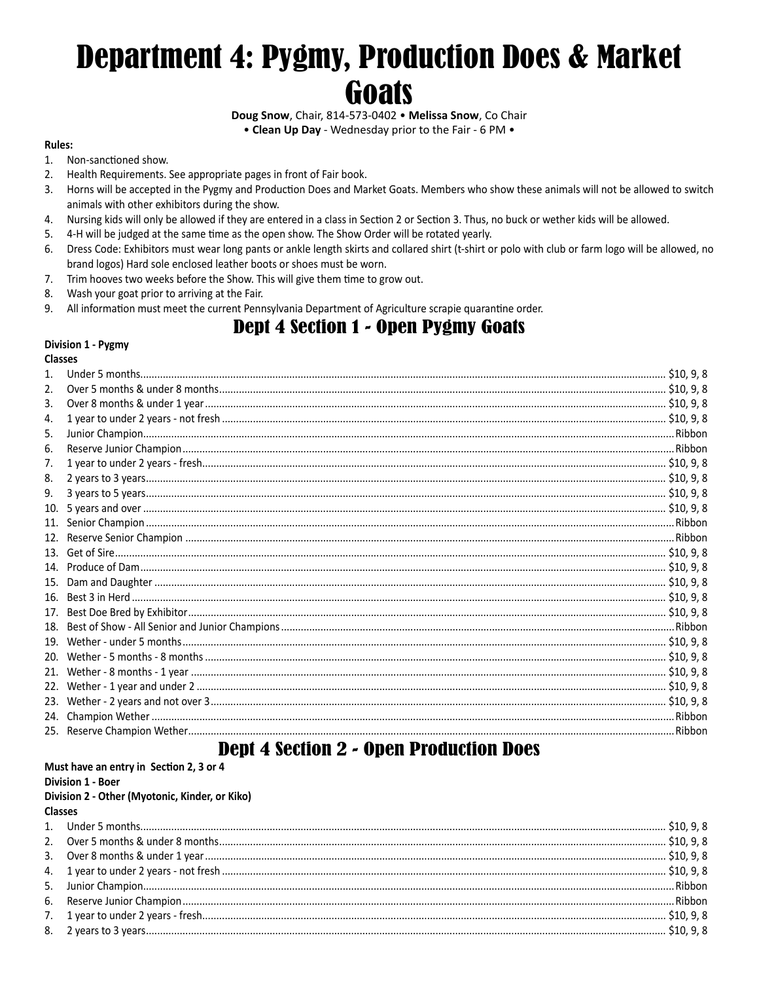# **Department 4: Pygmy, Production Does & Market** Goats

Doug Snow, Chair, 814-573-0402 . Melissa Snow, Co Chair

• Clean Up Day - Wednesday prior to the Fair - 6 PM .

#### **Rules:**

- 1. Non-sanctioned show.
- 2. Health Requirements. See appropriate pages in front of Fair book.
- $3<sub>1</sub>$ Horns will be accepted in the Pygmy and Production Does and Market Goats. Members who show these animals will not be allowed to switch animals with other exhibitors during the show.
- Nursing kids will only be allowed if they are entered in a class in Section 2 or Section 3. Thus, no buck or wether kids will be allowed.  $\mathbf{4}$
- 4-H will be judged at the same time as the open show. The Show Order will be rotated yearly. 5.
- Dress Code: Exhibitors must wear long pants or ankle length skirts and collared shirt (t-shirt or polo with club or farm logo will be allowed, no 6. brand logos) Hard sole enclosed leather boots or shoes must be worn.
- 7. Trim hooves two weeks before the Show. This will give them time to grow out.
- Wash your goat prior to arriving at the Fair. 8.
- All information must meet the current Pennsylvania Department of Agriculture scrapie quarantine order. 9.

# **Dept 4 Section 1 - Open Pygmy Goats**

#### Division 1 - Pygmy

#### **Classes**

| 2.  |  |
|-----|--|
| 3.  |  |
| 4.  |  |
| 5.  |  |
| 6.  |  |
| 7.  |  |
| 8.  |  |
| 9.  |  |
| 10. |  |
|     |  |
| 12. |  |
|     |  |
|     |  |
| 15. |  |
| 16. |  |
| 17. |  |
| 18. |  |
|     |  |
|     |  |
|     |  |
|     |  |
|     |  |
|     |  |
|     |  |
|     |  |

# **Dept 4 Section 2 - Open Production Does**

#### Must have an entry in Section 2, 3 or 4 Division 1 - Boer

### Division 2 - Other (Myotonic, Kinder, or Kiko)

#### **Classes**